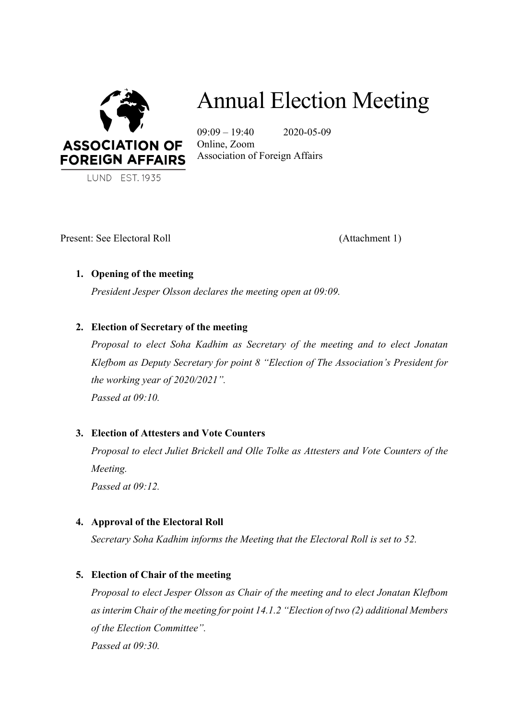

# Annual Election Meeting

 $09:09 - 19:40$  2020-05-09 Online, Zoom Association of Foreign Affairs

Present: See Electoral Roll (Attachment 1)

# **1. Opening of the meeting**

*President Jesper Olsson declares the meeting open at 09:09.*

# **2. Election of Secretary of the meeting**

*Proposal to elect Soha Kadhim as Secretary of the meeting and to elect Jonatan Klefbom as Deputy Secretary for point 8 "Election of The Association's President for the working year of 2020/2021".*

*Passed at 09:10.*

# **3. Election of Attesters and Vote Counters**

*Proposal to elect Juliet Brickell and Olle Tolke as Attesters and Vote Counters of the Meeting.*

*Passed at 09:12.*

# **4. Approval of the Electoral Roll**

*Secretary Soha Kadhim informs the Meeting that the Electoral Roll is set to 52.* 

# **5. Election of Chair of the meeting**

*Proposal to elect Jesper Olsson as Chair of the meeting and to elect Jonatan Klefbom as interim Chair of the meeting for point 14.1.2 "Election of two (2) additional Members of the Election Committee". Passed at 09:30.*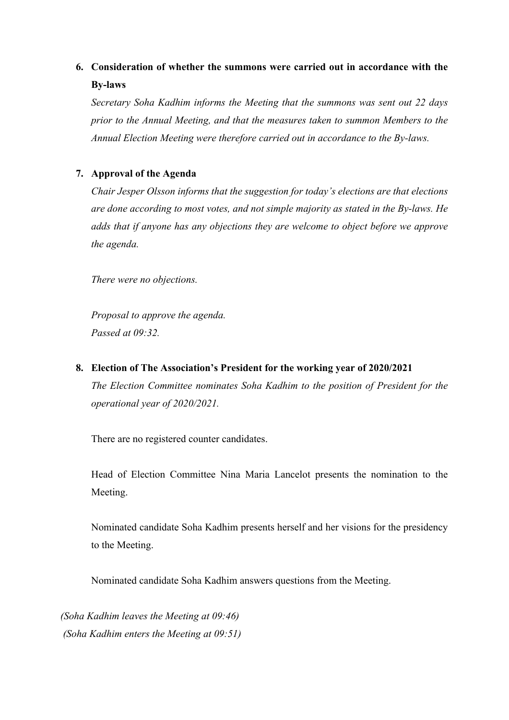# **6. Consideration of whether the summons were carried out in accordance with the By-laws**

*Secretary Soha Kadhim informs the Meeting that the summons was sent out 22 days prior to the Annual Meeting, and that the measures taken to summon Members to the Annual Election Meeting were therefore carried out in accordance to the By-laws.* 

# **7. Approval of the Agenda**

*Chair Jesper Olsson informs that the suggestion for today's elections are that elections are done according to most votes, and not simple majority as stated in the By-laws. He adds that if anyone has any objections they are welcome to object before we approve the agenda.* 

*There were no objections.* 

*Proposal to approve the agenda. Passed at 09:32.*

**8. Election of The Association's President for the working year of 2020/2021** *The Election Committee nominates Soha Kadhim to the position of President for the operational year of 2020/2021.* 

There are no registered counter candidates.

Head of Election Committee Nina Maria Lancelot presents the nomination to the Meeting.

Nominated candidate Soha Kadhim presents herself and her visions for the presidency to the Meeting.

Nominated candidate Soha Kadhim answers questions from the Meeting.

*(Soha Kadhim leaves the Meeting at 09:46) (Soha Kadhim enters the Meeting at 09:51)*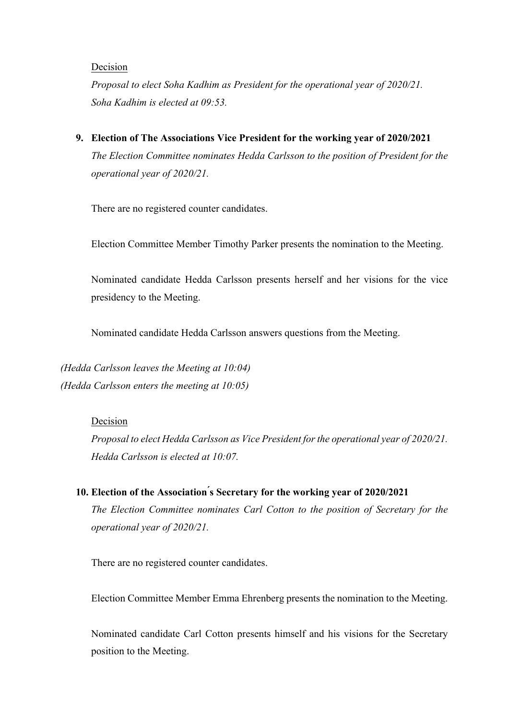#### Decision

*Proposal to elect Soha Kadhim as President for the operational year of 2020/21. Soha Kadhim is elected at 09:53.*

**9. Election of The Associations Vice President for the working year of 2020/2021** *The Election Committee nominates Hedda Carlsson to the position of President for the operational year of 2020/21.* 

There are no registered counter candidates.

Election Committee Member Timothy Parker presents the nomination to the Meeting.

Nominated candidate Hedda Carlsson presents herself and her visions for the vice presidency to the Meeting.

Nominated candidate Hedda Carlsson answers questions from the Meeting.

*(Hedda Carlsson leaves the Meeting at 10:04) (Hedda Carlsson enters the meeting at 10:05)*

#### Decision

*Proposal to elect Hedda Carlsson as Vice President for the operational year of 2020/21. Hedda Carlsson is elected at 10:07.* 

# **10. Election of the Association ́s Secretary for the working year of 2020/2021**

*The Election Committee nominates Carl Cotton to the position of Secretary for the operational year of 2020/21.* 

There are no registered counter candidates.

Election Committee Member Emma Ehrenberg presents the nomination to the Meeting.

Nominated candidate Carl Cotton presents himself and his visions for the Secretary position to the Meeting.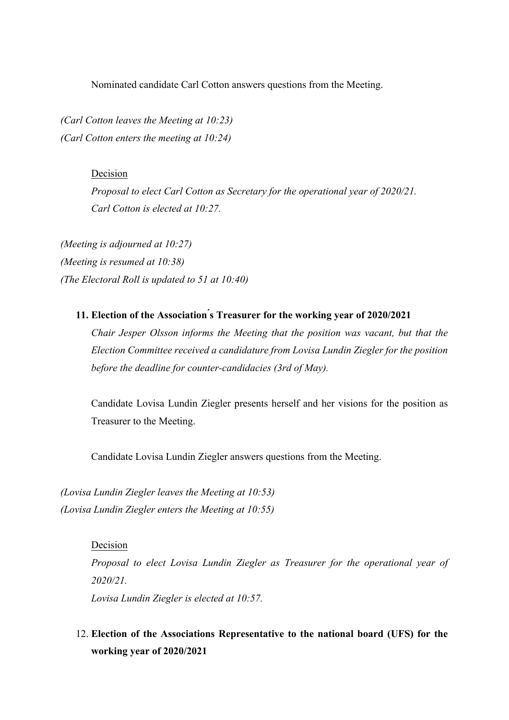Nominated candidate Carl Cotton answers questions from the Meeting.

*(Carl Cotton leaves the Meeting at 10:23) (Carl Cotton enters the meeting at 10:24)*

# Decision

*Proposal to elect Carl Cotton as Secretary for the operational year of 2020/21. Carl Cotton is elected at 10:27.* 

*(Meeting is adjourned at 10:27) (Meeting is resumed at 10:38) (The Electoral Roll is updated to 51 at 10:40)*

# **11. Election of the Association ́s Treasurer for the working year of 2020/2021**

*Chair Jesper Olsson informs the Meeting that the position was vacant, but that the Election Committee received a candidature from Lovisa Lundin Ziegler for the position before the deadline for counter-candidacies (3rd of May).* 

Candidate Lovisa Lundin Ziegler presents herself and her visions for the position as Treasurer to the Meeting.

Candidate Lovisa Lundin Ziegler answers questions from the Meeting.

*(Lovisa Lundin Ziegler leaves the Meeting at 10:53) (Lovisa Lundin Ziegler enters the Meeting at 10:55)*

> Decision *Proposal to elect Lovisa Lundin Ziegler as Treasurer for the operational year of 2020/21. Lovisa Lundin Ziegler is elected at 10:57.*

# 12. **Election of the Associations Representative to the national board (UFS) for the working year of 2020/2021**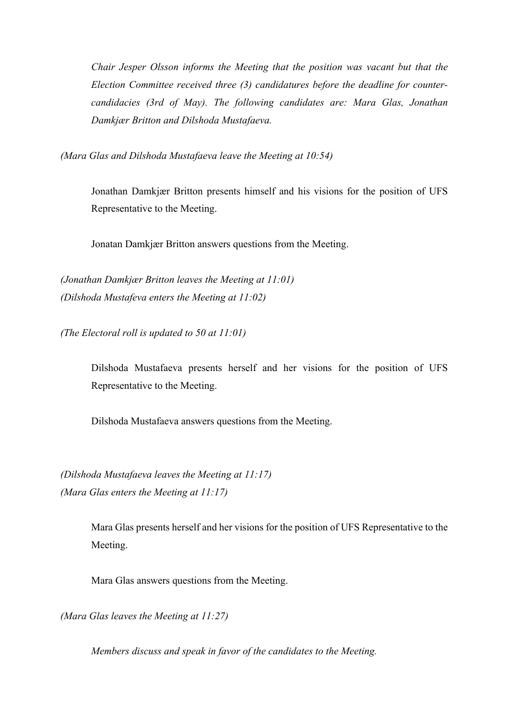*Chair Jesper Olsson informs the Meeting that the position was vacant but that the Election Committee received three (3) candidatures before the deadline for countercandidacies (3rd of May). The following candidates are: Mara Glas, Jonathan Damkjær Britton and Dilshoda Mustafaeva.*

*(Mara Glas and Dilshoda Mustafaeva leave the Meeting at 10:54)* 

Jonathan Damkjær Britton presents himself and his visions for the position of UFS Representative to the Meeting.

Jonatan Damkjær Britton answers questions from the Meeting.

*(Jonathan Damkjær Britton leaves the Meeting at 11:01) (Dilshoda Mustafeva enters the Meeting at 11:02)*

*(The Electoral roll is updated to 50 at 11:01)*

Dilshoda Mustafaeva presents herself and her visions for the position of UFS Representative to the Meeting.

Dilshoda Mustafaeva answers questions from the Meeting.

*(Dilshoda Mustafaeva leaves the Meeting at 11:17) (Mara Glas enters the Meeting at 11:17)*

> Mara Glas presents herself and her visions for the position of UFS Representative to the Meeting.

Mara Glas answers questions from the Meeting.

*(Mara Glas leaves the Meeting at 11:27)* 

*Members discuss and speak in favor of the candidates to the Meeting.*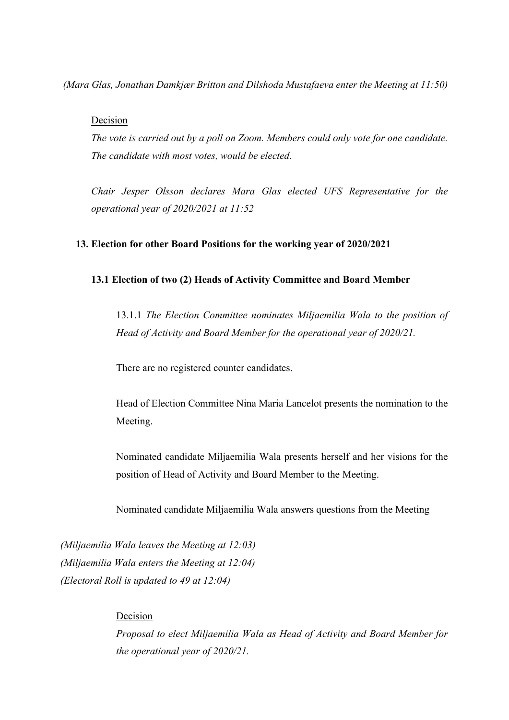*(Mara Glas, Jonathan Damkjær Britton and Dilshoda Mustafaeva enter the Meeting at 11:50)*

# Decision

*The vote is carried out by a poll on Zoom. Members could only vote for one candidate. The candidate with most votes, would be elected.*

*Chair Jesper Olsson declares Mara Glas elected UFS Representative for the operational year of 2020/2021 at 11:52*

## **13. Election for other Board Positions for the working year of 2020/2021**

## **13.1 Election of two (2) Heads of Activity Committee and Board Member**

13.1.1 *The Election Committee nominates Miljaemilia Wala to the position of Head of Activity and Board Member for the operational year of 2020/21.*

There are no registered counter candidates.

Head of Election Committee Nina Maria Lancelot presents the nomination to the Meeting.

Nominated candidate Miljaemilia Wala presents herself and her visions for the position of Head of Activity and Board Member to the Meeting.

Nominated candidate Miljaemilia Wala answers questions from the Meeting

*(Miljaemilia Wala leaves the Meeting at 12:03) (Miljaemilia Wala enters the Meeting at 12:04) (Electoral Roll is updated to 49 at 12:04)* 

# Decision

*Proposal to elect Miljaemilia Wala as Head of Activity and Board Member for the operational year of 2020/21.*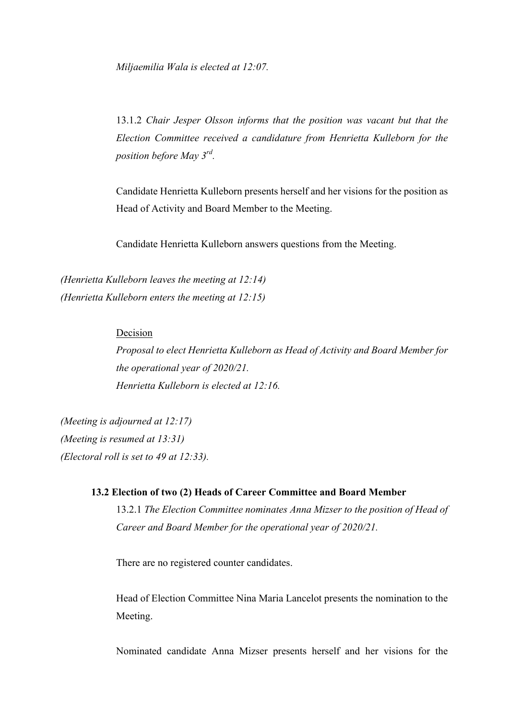*Miljaemilia Wala is elected at 12:07.* 

13.1.2 *Chair Jesper Olsson informs that the position was vacant but that the Election Committee received a candidature from Henrietta Kulleborn for the position before May 3rd.*

Candidate Henrietta Kulleborn presents herself and her visions for the position as Head of Activity and Board Member to the Meeting.

Candidate Henrietta Kulleborn answers questions from the Meeting.

*(Henrietta Kulleborn leaves the meeting at 12:14) (Henrietta Kulleborn enters the meeting at 12:15)*

# Decision

*Proposal to elect Henrietta Kulleborn as Head of Activity and Board Member for the operational year of 2020/21. Henrietta Kulleborn is elected at 12:16.* 

*(Meeting is adjourned at 12:17) (Meeting is resumed at 13:31) (Electoral roll is set to 49 at 12:33).* 

## **13.2 Election of two (2) Heads of Career Committee and Board Member**

13.2.1 *The Election Committee nominates Anna Mizser to the position of Head of Career and Board Member for the operational year of 2020/21.*

There are no registered counter candidates.

Head of Election Committee Nina Maria Lancelot presents the nomination to the Meeting.

Nominated candidate Anna Mizser presents herself and her visions for the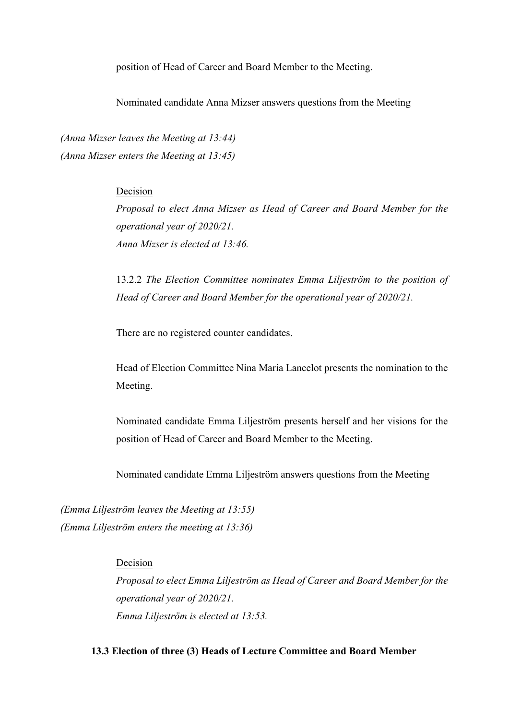position of Head of Career and Board Member to the Meeting.

Nominated candidate Anna Mizser answers questions from the Meeting

*(Anna Mizser leaves the Meeting at 13:44) (Anna Mizser enters the Meeting at 13:45)*

# Decision

*Proposal to elect Anna Mizser as Head of Career and Board Member for the operational year of 2020/21. Anna Mizser is elected at 13:46.*

13.2.2 *The Election Committee nominates Emma Liljeström to the position of Head of Career and Board Member for the operational year of 2020/21.*

There are no registered counter candidates.

Head of Election Committee Nina Maria Lancelot presents the nomination to the Meeting.

Nominated candidate Emma Liljeström presents herself and her visions for the position of Head of Career and Board Member to the Meeting.

Nominated candidate Emma Liljeström answers questions from the Meeting

*(Emma Liljeström leaves the Meeting at 13:55) (Emma Liljeström enters the meeting at 13:36)*

# Decision

*Proposal to elect Emma Liljeström as Head of Career and Board Member for the operational year of 2020/21. Emma Liljeström is elected at 13:53.*

# **13.3 Election of three (3) Heads of Lecture Committee and Board Member**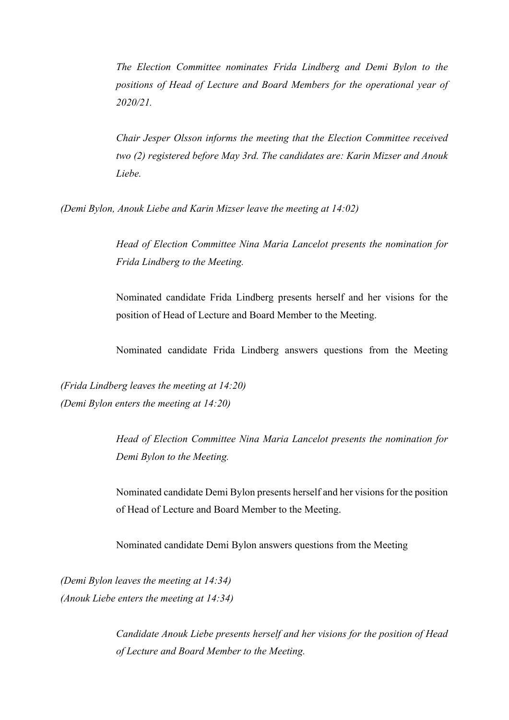*The Election Committee nominates Frida Lindberg and Demi Bylon to the positions of Head of Lecture and Board Members for the operational year of 2020/21.* 

*Chair Jesper Olsson informs the meeting that the Election Committee received two (2) registered before May 3rd. The candidates are: Karin Mizser and Anouk Liebe.* 

*(Demi Bylon, Anouk Liebe and Karin Mizser leave the meeting at 14:02)* 

*Head of Election Committee Nina Maria Lancelot presents the nomination for Frida Lindberg to the Meeting.* 

Nominated candidate Frida Lindberg presents herself and her visions for the position of Head of Lecture and Board Member to the Meeting.

Nominated candidate Frida Lindberg answers questions from the Meeting

*(Frida Lindberg leaves the meeting at 14:20) (Demi Bylon enters the meeting at 14:20)* 

> *Head of Election Committee Nina Maria Lancelot presents the nomination for Demi Bylon to the Meeting.*

> Nominated candidate Demi Bylon presents herself and her visions for the position of Head of Lecture and Board Member to the Meeting.

Nominated candidate Demi Bylon answers questions from the Meeting

*(Demi Bylon leaves the meeting at 14:34) (Anouk Liebe enters the meeting at 14:34)* 

> *Candidate Anouk Liebe presents herself and her visions for the position of Head of Lecture and Board Member to the Meeting.*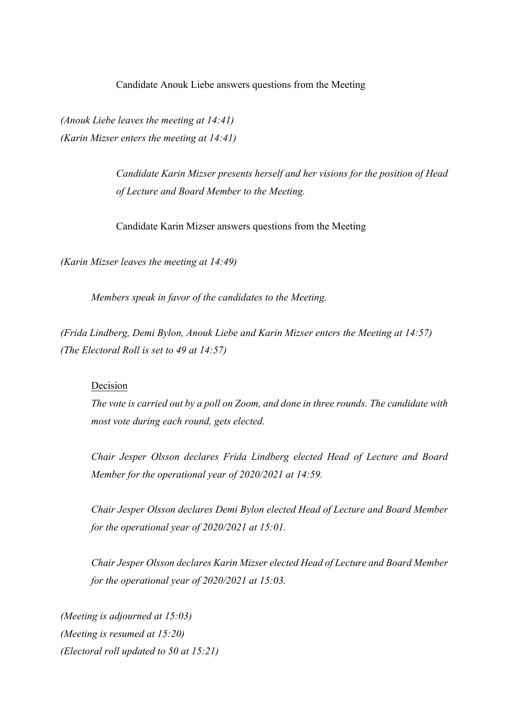Candidate Anouk Liebe answers questions from the Meeting

*(Anouk Liebe leaves the meeting at 14:41) (Karin Mizser enters the meeting at 14:41)* 

> *Candidate Karin Mizser presents herself and her visions for the position of Head of Lecture and Board Member to the Meeting.*

Candidate Karin Mizser answers questions from the Meeting

*(Karin Mizser leaves the meeting at 14:49)* 

*Members speak in favor of the candidates to the Meeting.* 

*(Frida Lindberg, Demi Bylon, Anouk Liebe and Karin Mizser enters the Meeting at 14:57) (The Electoral Roll is set to 49 at 14:57)*

#### Decision

*The vote is carried out by a poll on Zoom, and done in three rounds. The candidate with most vote during each round, gets elected.* 

*Chair Jesper Olsson declares Frida Lindberg elected Head of Lecture and Board Member for the operational year of 2020/2021 at 14:59.* 

*Chair Jesper Olsson declares Demi Bylon elected Head of Lecture and Board Member for the operational year of 2020/2021 at 15:01.* 

*Chair Jesper Olsson declares Karin Mizser elected Head of Lecture and Board Member for the operational year of 2020/2021 at 15:03.* 

*(Meeting is adjourned at 15:03) (Meeting is resumed at 15:20) (Electoral roll updated to 50 at 15:21)*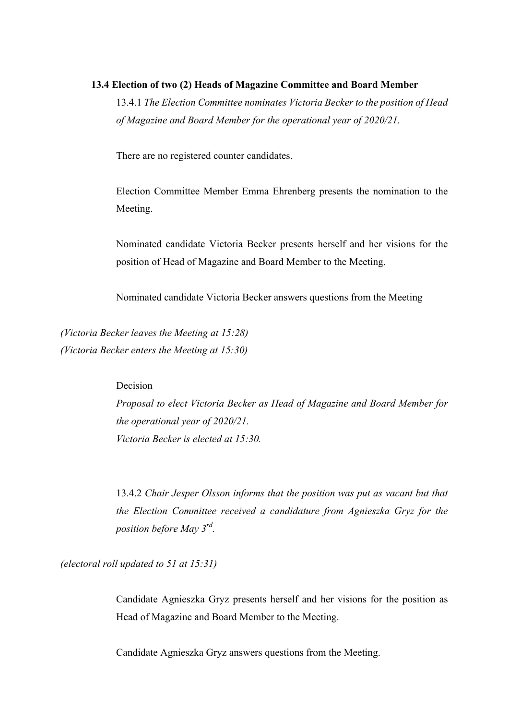#### **13.4 Election of two (2) Heads of Magazine Committee and Board Member**

13.4.1 *The Election Committee nominates Victoria Becker to the position of Head of Magazine and Board Member for the operational year of 2020/21.*

There are no registered counter candidates.

Election Committee Member Emma Ehrenberg presents the nomination to the Meeting.

Nominated candidate Victoria Becker presents herself and her visions for the position of Head of Magazine and Board Member to the Meeting.

Nominated candidate Victoria Becker answers questions from the Meeting

*(Victoria Becker leaves the Meeting at 15:28) (Victoria Becker enters the Meeting at 15:30)* 

#### Decision

*Proposal to elect Victoria Becker as Head of Magazine and Board Member for the operational year of 2020/21. Victoria Becker is elected at 15:30.* 

13.4.2 *Chair Jesper Olsson informs that the position was put as vacant but that the Election Committee received a candidature from Agnieszka Gryz for the position before May 3rd.*

*(electoral roll updated to 51 at 15:31)*

Candidate Agnieszka Gryz presents herself and her visions for the position as Head of Magazine and Board Member to the Meeting.

Candidate Agnieszka Gryz answers questions from the Meeting.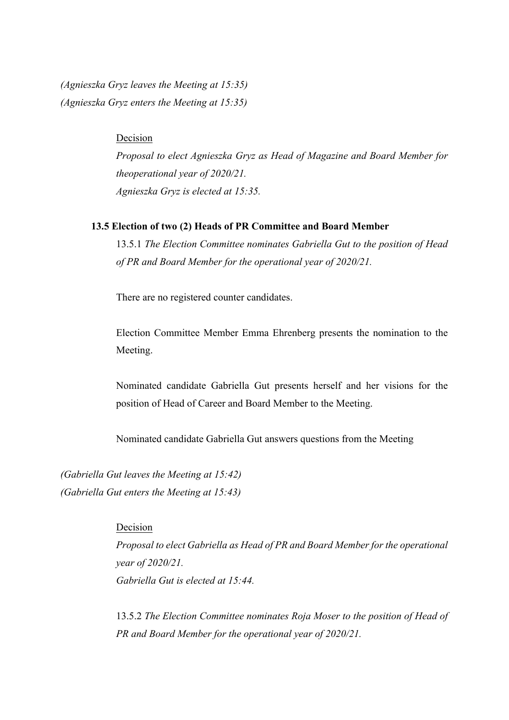*(Agnieszka Gryz leaves the Meeting at 15:35) (Agnieszka Gryz enters the Meeting at 15:35)* 

# Decision

*Proposal to elect Agnieszka Gryz as Head of Magazine and Board Member for theoperational year of 2020/21. Agnieszka Gryz is elected at 15:35.* 

## **13.5 Election of two (2) Heads of PR Committee and Board Member**

13.5.1 *The Election Committee nominates Gabriella Gut to the position of Head of PR and Board Member for the operational year of 2020/21.* 

There are no registered counter candidates.

Election Committee Member Emma Ehrenberg presents the nomination to the Meeting.

Nominated candidate Gabriella Gut presents herself and her visions for the position of Head of Career and Board Member to the Meeting.

Nominated candidate Gabriella Gut answers questions from the Meeting

*(Gabriella Gut leaves the Meeting at 15:42) (Gabriella Gut enters the Meeting at 15:43)* 

# Decision

*Proposal to elect Gabriella as Head of PR and Board Member for the operational year of 2020/21. Gabriella Gut is elected at 15:44.* 

13.5.2 *The Election Committee nominates Roja Moser to the position of Head of PR and Board Member for the operational year of 2020/21.*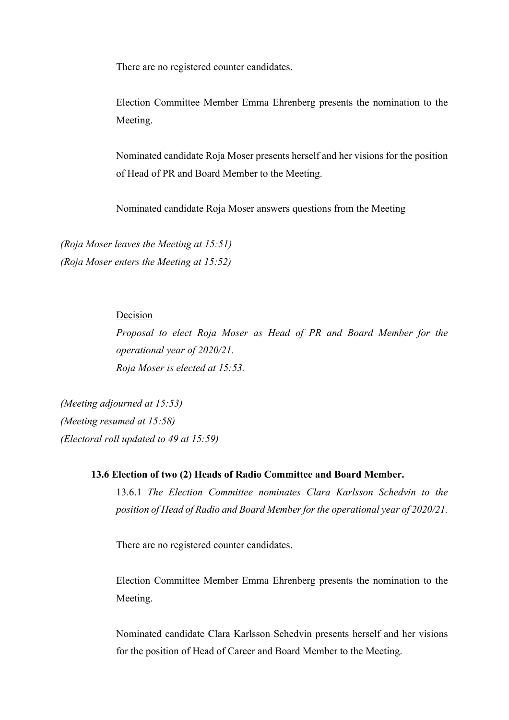There are no registered counter candidates.

Election Committee Member Emma Ehrenberg presents the nomination to the Meeting.

Nominated candidate Roja Moser presents herself and her visions for the position of Head of PR and Board Member to the Meeting.

Nominated candidate Roja Moser answers questions from the Meeting

*(Roja Moser leaves the Meeting at 15:51) (Roja Moser enters the Meeting at 15:52)*

# Decision

*Proposal to elect Roja Moser as Head of PR and Board Member for the operational year of 2020/21. Roja Moser is elected at 15:53.*

*(Meeting adjourned at 15:53) (Meeting resumed at 15:58) (Electoral roll updated to 49 at 15:59)*

# **13.6 Election of two (2) Heads of Radio Committee and Board Member.**

13.6.1 *The Election Committee nominates Clara Karlsson Schedvin to the position of Head of Radio and Board Member for the operational year of 2020/21.* 

There are no registered counter candidates.

Election Committee Member Emma Ehrenberg presents the nomination to the Meeting.

Nominated candidate Clara Karlsson Schedvin presents herself and her visions for the position of Head of Career and Board Member to the Meeting.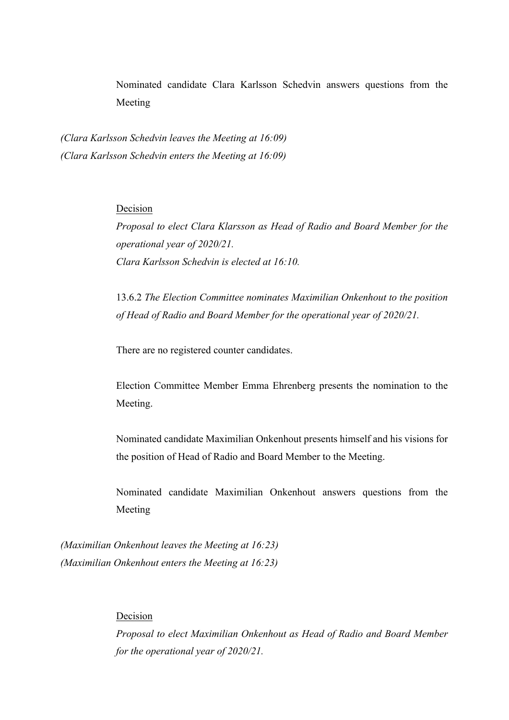Nominated candidate Clara Karlsson Schedvin answers questions from the Meeting

*(Clara Karlsson Schedvin leaves the Meeting at 16:09) (Clara Karlsson Schedvin enters the Meeting at 16:09)* 

# Decision

*Proposal to elect Clara Klarsson as Head of Radio and Board Member for the operational year of 2020/21. Clara Karlsson Schedvin is elected at 16:10.*

13.6.2 *The Election Committee nominates Maximilian Onkenhout to the position of Head of Radio and Board Member for the operational year of 2020/21.*

There are no registered counter candidates.

Election Committee Member Emma Ehrenberg presents the nomination to the Meeting.

Nominated candidate Maximilian Onkenhout presents himself and his visions for the position of Head of Radio and Board Member to the Meeting.

Nominated candidate Maximilian Onkenhout answers questions from the Meeting

*(Maximilian Onkenhout leaves the Meeting at 16:23) (Maximilian Onkenhout enters the Meeting at 16:23)*

# Decision

*Proposal to elect Maximilian Onkenhout as Head of Radio and Board Member for the operational year of 2020/21.*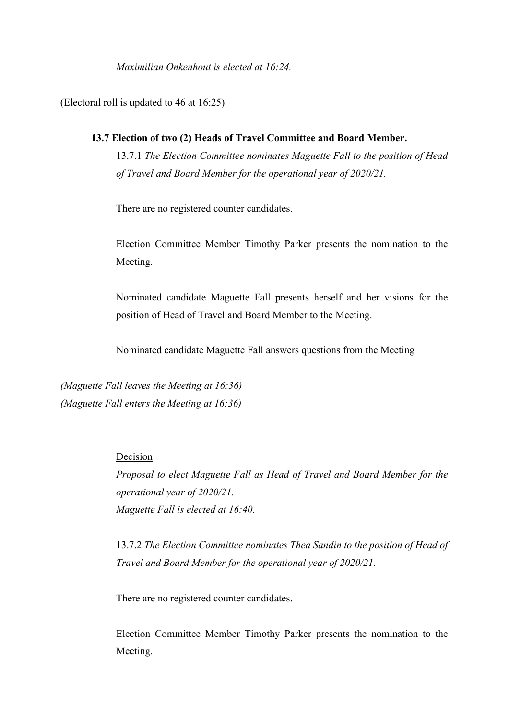*Maximilian Onkenhout is elected at 16:24.* 

(Electoral roll is updated to 46 at 16:25)

# **13.7 Election of two (2) Heads of Travel Committee and Board Member.**

13.7.1 *The Election Committee nominates Maguette Fall to the position of Head of Travel and Board Member for the operational year of 2020/21.*

There are no registered counter candidates.

Election Committee Member Timothy Parker presents the nomination to the Meeting.

Nominated candidate Maguette Fall presents herself and her visions for the position of Head of Travel and Board Member to the Meeting.

Nominated candidate Maguette Fall answers questions from the Meeting

*(Maguette Fall leaves the Meeting at 16:36) (Maguette Fall enters the Meeting at 16:36)*

#### Decision

*Proposal to elect Maguette Fall as Head of Travel and Board Member for the operational year of 2020/21. Maguette Fall is elected at 16:40.* 

13.7.2 *The Election Committee nominates Thea Sandin to the position of Head of Travel and Board Member for the operational year of 2020/21.*

There are no registered counter candidates.

Election Committee Member Timothy Parker presents the nomination to the Meeting.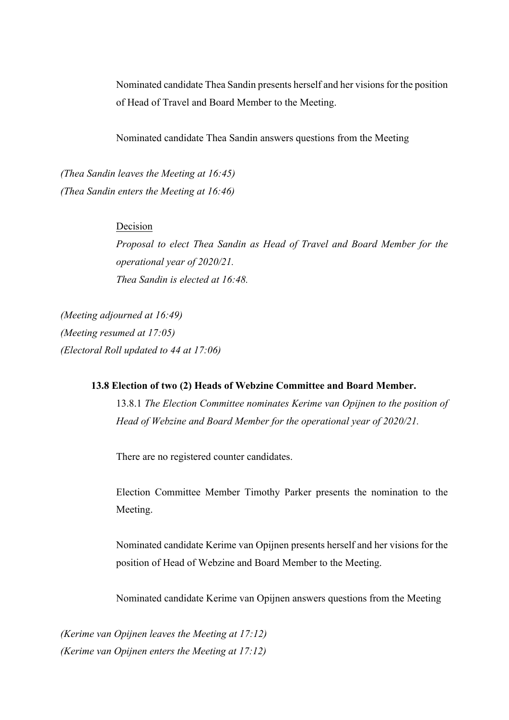Nominated candidate Thea Sandin presents herself and her visions for the position of Head of Travel and Board Member to the Meeting.

Nominated candidate Thea Sandin answers questions from the Meeting

*(Thea Sandin leaves the Meeting at 16:45) (Thea Sandin enters the Meeting at 16:46)*

# Decision

*Proposal to elect Thea Sandin as Head of Travel and Board Member for the operational year of 2020/21. Thea Sandin is elected at 16:48.*

*(Meeting adjourned at 16:49) (Meeting resumed at 17:05) (Electoral Roll updated to 44 at 17:06)*

# **13.8 Election of two (2) Heads of Webzine Committee and Board Member.**

13.8.1 *The Election Committee nominates Kerime van Opijnen to the position of Head of Webzine and Board Member for the operational year of 2020/21.*

There are no registered counter candidates.

Election Committee Member Timothy Parker presents the nomination to the Meeting.

Nominated candidate Kerime van Opijnen presents herself and her visions for the position of Head of Webzine and Board Member to the Meeting.

Nominated candidate Kerime van Opijnen answers questions from the Meeting

*(Kerime van Opijnen leaves the Meeting at 17:12) (Kerime van Opijnen enters the Meeting at 17:12)*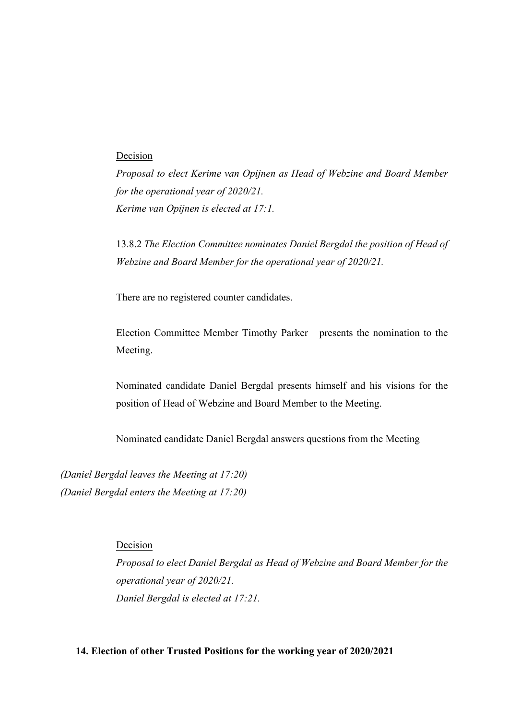# Decision

*Proposal to elect Kerime van Opijnen as Head of Webzine and Board Member for the operational year of 2020/21. Kerime van Opijnen is elected at 17:1.*

13.8.2 *The Election Committee nominates Daniel Bergdal the position of Head of Webzine and Board Member for the operational year of 2020/21.*

There are no registered counter candidates.

Election Committee Member Timothy Parker presents the nomination to the Meeting.

Nominated candidate Daniel Bergdal presents himself and his visions for the position of Head of Webzine and Board Member to the Meeting.

Nominated candidate Daniel Bergdal answers questions from the Meeting

*(Daniel Bergdal leaves the Meeting at 17:20) (Daniel Bergdal enters the Meeting at 17:20)*

Decision

*Proposal to elect Daniel Bergdal as Head of Webzine and Board Member for the operational year of 2020/21. Daniel Bergdal is elected at 17:21.* 

# **14. Election of other Trusted Positions for the working year of 2020/2021**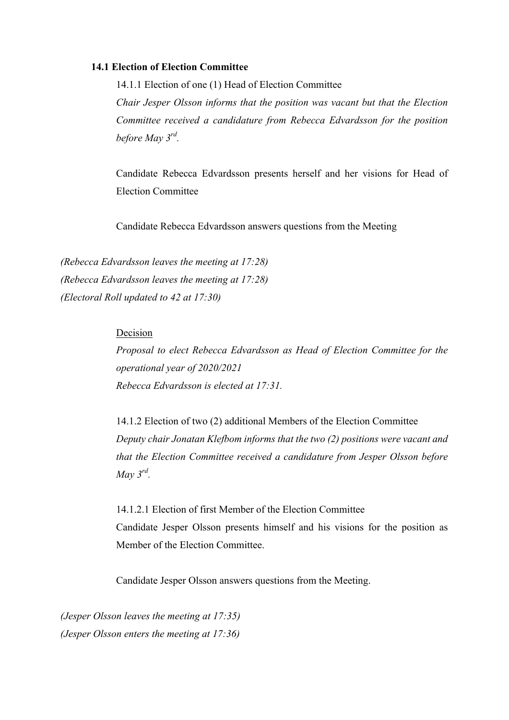#### **14.1 Election of Election Committee**

14.1.1 Election of one (1) Head of Election Committee *Chair Jesper Olsson informs that the position was vacant but that the Election Committee received a candidature from Rebecca Edvardsson for the position before May 3rd.* 

Candidate Rebecca Edvardsson presents herself and her visions for Head of Election Committee

Candidate Rebecca Edvardsson answers questions from the Meeting

*(Rebecca Edvardsson leaves the meeting at 17:28) (Rebecca Edvardsson leaves the meeting at 17:28) (Electoral Roll updated to 42 at 17:30)*

# Decision

*Proposal to elect Rebecca Edvardsson as Head of Election Committee for the operational year of 2020/2021 Rebecca Edvardsson is elected at 17:31.* 

14.1.2 Election of two (2) additional Members of the Election Committee *Deputy chair Jonatan Klefbom informs that the two (2) positions were vacant and that the Election Committee received a candidature from Jesper Olsson before May 3rd.*

14.1.2.1 Election of first Member of the Election Committee Candidate Jesper Olsson presents himself and his visions for the position as Member of the Election Committee.

Candidate Jesper Olsson answers questions from the Meeting.

*(Jesper Olsson leaves the meeting at 17:35) (Jesper Olsson enters the meeting at 17:36)*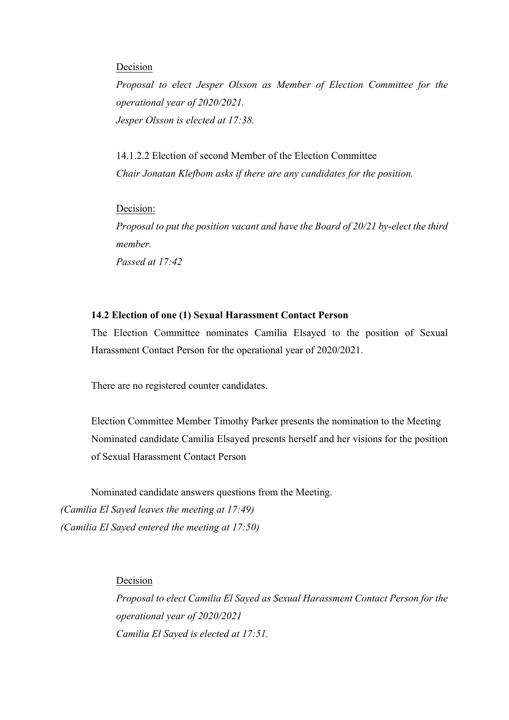#### Decision

*Proposal to elect Jesper Olsson as Member of Election Committee for the operational year of 2020/2021. Jesper Olsson is elected at 17:38.* 

14.1.2.2 Election of second Member of the Election Committee *Chair Jonatan Klefbom asks if there are any candidates for the position.* 

Decision:

*Proposal to put the position vacant and have the Board of 20/21 by-elect the third member.* 

*Passed at 17:42*

# **14.2 Election of one (1) Sexual Harassment Contact Person**

The Election Committee nominates Camilia Elsayed to the position of Sexual Harassment Contact Person for the operational year of 2020/2021.

There are no registered counter candidates.

Election Committee Member Timothy Parker presents the nomination to the Meeting Nominated candidate Camilia Elsayed presents herself and her visions for the position of Sexual Harassment Contact Person

Nominated candidate answers questions from the Meeting. *(Camilia El Sayed leaves the meeting at 17:49) (Camilia El Sayed entered the meeting at 17:50)*

Decision

*Proposal to elect Camilia El Sayed as Sexual Harassment Contact Person for the operational year of 2020/2021 Camilia El Sayed is elected at 17:51.*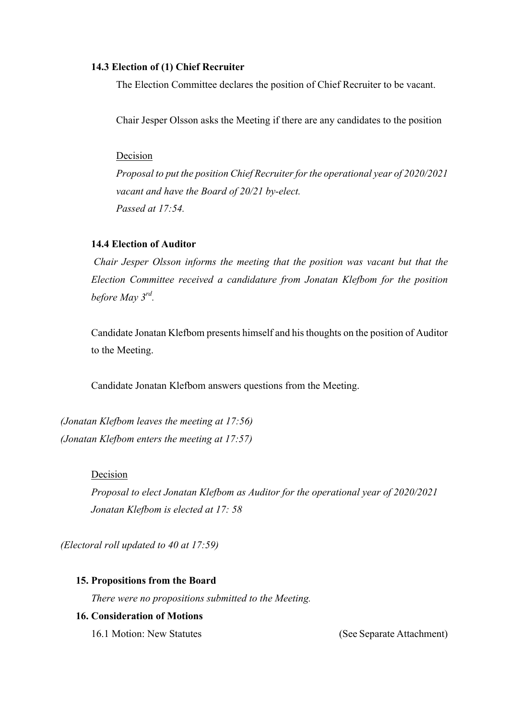#### **14.3 Election of (1) Chief Recruiter**

The Election Committee declares the position of Chief Recruiter to be vacant.

Chair Jesper Olsson asks the Meeting if there are any candidates to the position

#### Decision

*Proposal to put the position Chief Recruiter for the operational year of 2020/2021 vacant and have the Board of 20/21 by-elect. Passed at 17:54.*

# **14.4 Election of Auditor**

*Chair Jesper Olsson informs the meeting that the position was vacant but that the Election Committee received a candidature from Jonatan Klefbom for the position before May 3rd.* 

Candidate Jonatan Klefbom presents himself and his thoughts on the position of Auditor to the Meeting.

Candidate Jonatan Klefbom answers questions from the Meeting.

*(Jonatan Klefbom leaves the meeting at 17:56) (Jonatan Klefbom enters the meeting at 17:57)* 

#### Decision

*Proposal to elect Jonatan Klefbom as Auditor for the operational year of 2020/2021 Jonatan Klefbom is elected at 17: 58*

*(Electoral roll updated to 40 at 17:59)*

# **15. Propositions from the Board**

*There were no propositions submitted to the Meeting.* 

# **16. Consideration of Motions**

16.1 Motion: New Statutes (See Separate Attachment)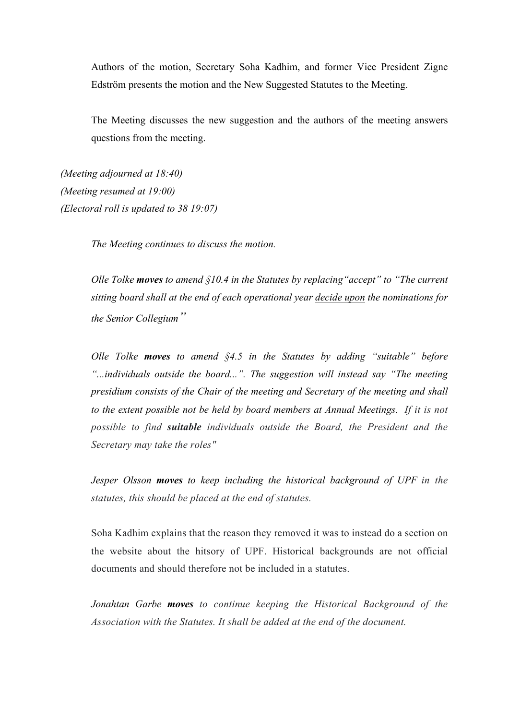Authors of the motion, Secretary Soha Kadhim, and former Vice President Zigne Edström presents the motion and the New Suggested Statutes to the Meeting.

The Meeting discusses the new suggestion and the authors of the meeting answers questions from the meeting.

*(Meeting adjourned at 18:40) (Meeting resumed at 19:00) (Electoral roll is updated to 38 19:07)*

*The Meeting continues to discuss the motion.*

*Olle Tolke moves to amend §10.4 in the Statutes by replacing"accept" to "The current sitting board shall at the end of each operational year decide upon the nominations for the Senior Collegium"*

*Olle Tolke moves to amend §4.5 in the Statutes by adding "suitable" before "...individuals outside the board...". The suggestion will instead say "The meeting presidium consists of the Chair of the meeting and Secretary of the meeting and shall to the extent possible not be held by board members at Annual Meetings. If it is not possible to find suitable individuals outside the Board, the President and the Secretary may take the roles"*

*Jesper Olsson moves to keep including the historical background of UPF in the statutes, this should be placed at the end of statutes.* 

Soha Kadhim explains that the reason they removed it was to instead do a section on the website about the hitsory of UPF. Historical backgrounds are not official documents and should therefore not be included in a statutes.

*Jonahtan Garbe moves to continue keeping the Historical Background of the Association with the Statutes. It shall be added at the end of the document.*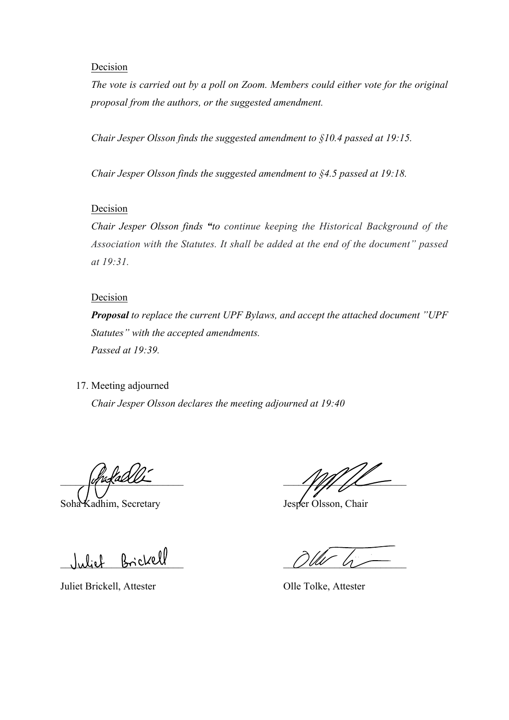#### Decision

*The vote is carried out by a poll on Zoom. Members could either vote for the original proposal from the authors, or the suggested amendment.* 

*Chair Jesper Olsson finds the suggested amendment to §10.4 passed at 19:15.* 

*Chair Jesper Olsson finds the suggested amendment to §4.5 passed at 19:18.*

# **Decision**

*Chair Jesper Olsson finds "to continue keeping the Historical Background of the Association with the Statutes. It shall be added at the end of the document" passed at 19:31.*

#### Decision

*Proposal to replace the current UPF Bylaws, and accept the attached document "UPF Statutes" with the accepted amendments. Passed at 19:39.* 

17. Meeting adjourned

*Chair Jesper Olsson declares the meeting adjourned at 19:40* 

Soha Kadhim, Secretary Jesper Olsson, Chair

Juliet Brickell, Attester Olle Tolke, Attester

 $\frac{1}{2}$ 

 $\bigcup \mathcal{U} \cup \bigcup \{U\cup U\}$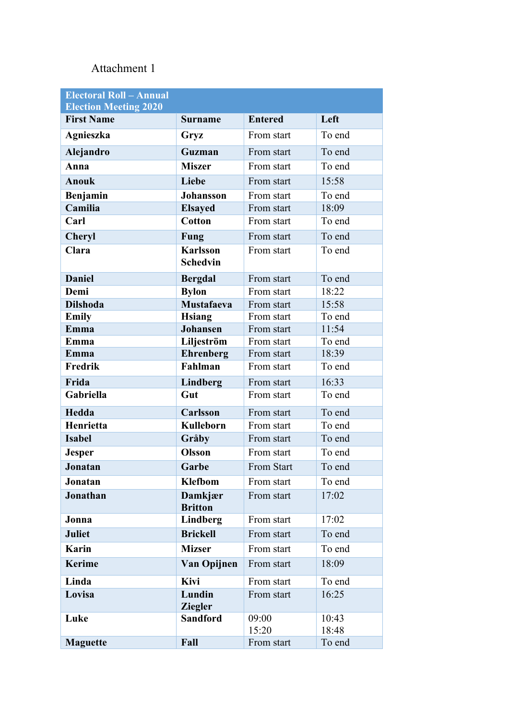# Attachment 1

| <b>Electoral Roll - Annual</b><br><b>Election Meeting 2020</b> |                                    |                |        |
|----------------------------------------------------------------|------------------------------------|----------------|--------|
| <b>First Name</b>                                              | <b>Surname</b>                     | <b>Entered</b> | Left   |
| Agnieszka                                                      | Gryz                               | From start     | To end |
| Alejandro                                                      | Guzman                             | From start     | To end |
| Anna                                                           | <b>Miszer</b>                      | From start     | To end |
| <b>Anouk</b>                                                   | Liebe                              | From start     | 15:58  |
| Benjamin                                                       | <b>Johansson</b>                   | From start     | To end |
| Camilia                                                        | <b>Elsayed</b>                     | From start     | 18:09  |
| Carl                                                           | <b>Cotton</b>                      | From start     | To end |
| Cheryl                                                         | <b>Fung</b>                        | From start     | To end |
| Clara                                                          | <b>Karlsson</b><br><b>Schedvin</b> | From start     | To end |
| <b>Daniel</b>                                                  | <b>Bergdal</b>                     | From start     | To end |
| Demi                                                           | <b>Bylon</b>                       | From start     | 18:22  |
| <b>Dilshoda</b>                                                | <b>Mustafaeva</b>                  | From start     | 15:58  |
| <b>Emily</b>                                                   | <b>Hsiang</b>                      | From start     | To end |
| Emma                                                           | <b>Johansen</b>                    | From start     | 11:54  |
| Emma                                                           | Liljeström                         | From start     | To end |
| Emma                                                           | <b>Ehrenberg</b>                   | From start     | 18:39  |
| Fredrik                                                        | Fahlman                            | From start     | To end |
| Frida                                                          | Lindberg                           | From start     | 16:33  |
| Gabriella                                                      | Gut                                | From start     | To end |
| Hedda                                                          | Carlsson                           | From start     | To end |
| Henrietta                                                      | <b>Kulleborn</b>                   | From start     | To end |
| <b>Isabel</b>                                                  | Gråby                              | From start     | To end |
| <b>Jesper</b>                                                  | <b>Olsson</b>                      | From start     | To end |
| <b>Jonatan</b>                                                 | Garbe                              | From Start     | To end |
| Jonatan                                                        | <b>Klefbom</b>                     | From start     | To end |
| Jonathan                                                       | Damkjær<br><b>Britton</b>          | From start     | 17:02  |
| Jonna                                                          | <b>Lindberg</b>                    | From start     | 17:02  |
| <b>Juliet</b>                                                  | <b>Brickell</b>                    | From start     | To end |
| <b>Karin</b>                                                   | <b>Mizser</b>                      | From start     | To end |
| <b>Kerime</b>                                                  | Van Opijnen                        | From start     | 18:09  |
| Linda                                                          | Kivi                               | From start     | To end |
| Lovisa                                                         | Lundin<br><b>Ziegler</b>           | From start     | 16:25  |
| Luke                                                           | <b>Sandford</b>                    | 09:00          | 10:43  |
|                                                                |                                    | 15:20          | 18:48  |
| <b>Maguette</b>                                                | Fall                               | From start     | To end |